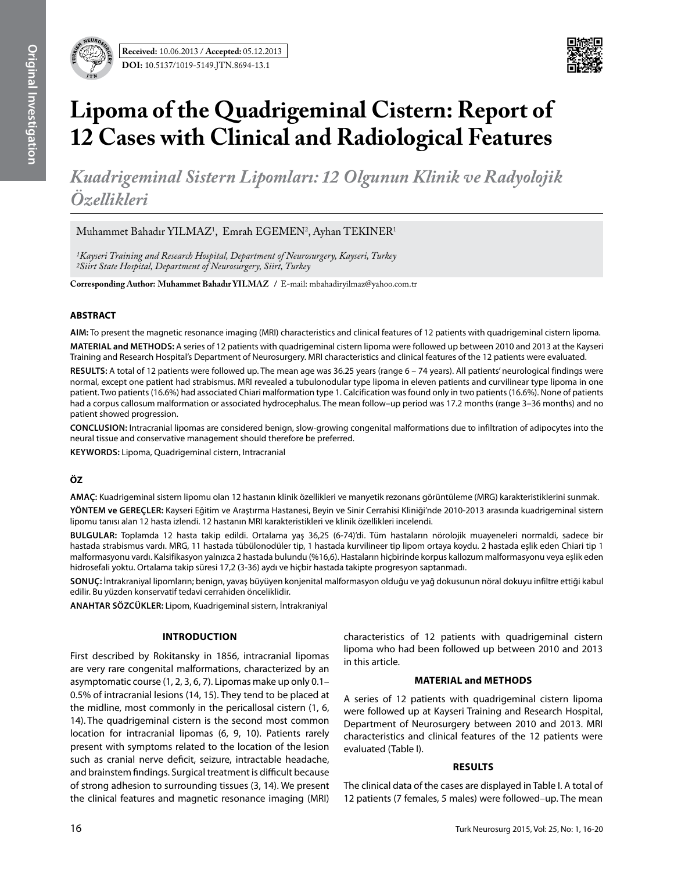

# **Lipoma of the Quadrigeminal Cistern: Report of 12 Cases with Clinical and Radiological Features**

*Kuadrigeminal Sistern Lipomları: 12 Olgunun Klinik ve Radyolojik Özellikleri*

 $M$ uhammet Bahadır YILMAZ $^1$ , Emrah EGEMEN $^2$ , Ayhan TEKINER $^1$ 

*1Kayseri Training and Research Hospital, Department of Neurosurgery, Kayseri, Turkey 2Siirt State Hospital, Department of Neurosurgery, Siirt, Turkey*

**Corresponding Author: Muhammet Bahadır Yılmaz /** E-mail: mbahadiryilmaz@yahoo.com.tr

#### **ABSTRACT**

**AIm:** To present the magnetic resonance imaging (MRI) characteristics and clinical features of 12 patients with quadrigeminal cistern lipoma.

**MaterIal and Methods:** A series of 12 patients with quadrigeminal cistern lipoma were followed up between 2010 and 2013 at the Kayseri Training and Research Hospital's Department of Neurosurgery. MRI characteristics and clinical features of the 12 patients were evaluated.

**Results:** A total of 12 patients were followed up. The mean age was 36.25 years (range 6 – 74 years). All patients' neurological findings were normal, except one patient had strabismus. MRI revealed a tubulonodular type lipoma in eleven patients and curvilinear type lipoma in one patient. Two patients (16.6%) had associated Chiari malformation type 1. Calcification was found only in two patients (16.6%). None of patients had a corpus callosum malformation or associated hydrocephalus. The mean follow–up period was 17.2 months (range 3–36 months) and no patient showed progression.

**ConclusIon:** Intracranial lipomas are considered benign, slow-growing congenital malformations due to infiltration of adipocytes into the neural tissue and conservative management should therefore be preferred.

**Keywords:** Lipoma, Quadrigeminal cistern, Intracranial

## **ÖZ**

**AMAÇ:** Kuadrigeminal sistern lipomu olan 12 hastanın klinik özellikleri ve manyetik rezonans görüntüleme (MRG) karakteristiklerini sunmak. **YÖNTEM ve GEREÇLER:** Kayseri Eğitim ve Araştırma Hastanesi, Beyin ve Sinir Cerrahisi Kliniği'nde 2010-2013 arasında kuadrigeminal sistern lipomu tanısı alan 12 hasta izlendi. 12 hastanın MRI karakteristikleri ve klinik özellikleri incelendi.

**BULGULAR:** Toplamda 12 hasta takip edildi. Ortalama yaş 36,25 (6-74)'di. Tüm hastaların nörolojik muayeneleri normaldi, sadece bir hastada strabismus vardı. MRG, 11 hastada tübülonodüler tip, 1 hastada kurvilineer tip lipom ortaya koydu. 2 hastada eşlik eden Chiari tip 1 malformasyonu vardı. Kalsifikasyon yalnızca 2 hastada bulundu (%16,6). Hastaların hiçbirinde korpus kallozum malformasyonu veya eşlik eden hidrosefali yoktu. Ortalama takip süresi 17,2 (3-36) aydı ve hiçbir hastada takipte progresyon saptanmadı.

**SONUÇ:** İntrakraniyal lipomların; benign, yavaş büyüyen konjenital malformasyon olduğu ve yağ dokusunun nöral dokuyu infiltre ettiği kabul edilir. Bu yüzden konservatif tedavi cerrahiden önceliklidir.

**ANAHTAR SÖZCÜKLER:** Lipom, Kuadrigeminal sistern, İntrakraniyal

### **Introduction**

First described by Rokitansky in 1856, intracranial lipomas are very rare congenital malformations, characterized by an asymptomatic course (1, 2, 3, 6, 7). Lipomas make up only 0.1– 0.5% of intracranial lesions (14, 15). They tend to be placed at the midline, most commonly in the pericallosal cistern (1, 6, 14). The quadrigeminal cistern is the second most common location for intracranial lipomas (6, 9, 10). Patients rarely present with symptoms related to the location of the lesion such as cranial nerve deficit, seizure, intractable headache, and brainstem findings. Surgical treatment is difficult because of strong adhesion to surrounding tissues (3, 14). We present the clinical features and magnetic resonance imaging (MRI)

characteristics of 12 patients with quadrigeminal cistern lipoma who had been followed up between 2010 and 2013 in this article.

#### **MATERIAL and Methods**

A series of 12 patients with quadrigeminal cistern lipoma were followed up at Kayseri Training and Research Hospital, Department of Neurosurgery between 2010 and 2013. MRI characteristics and clinical features of the 12 patients were evaluated (Table I).

#### **Results**

The clinical data of the cases are displayed in Table I. A total of 12 patients (7 females, 5 males) were followed–up. The mean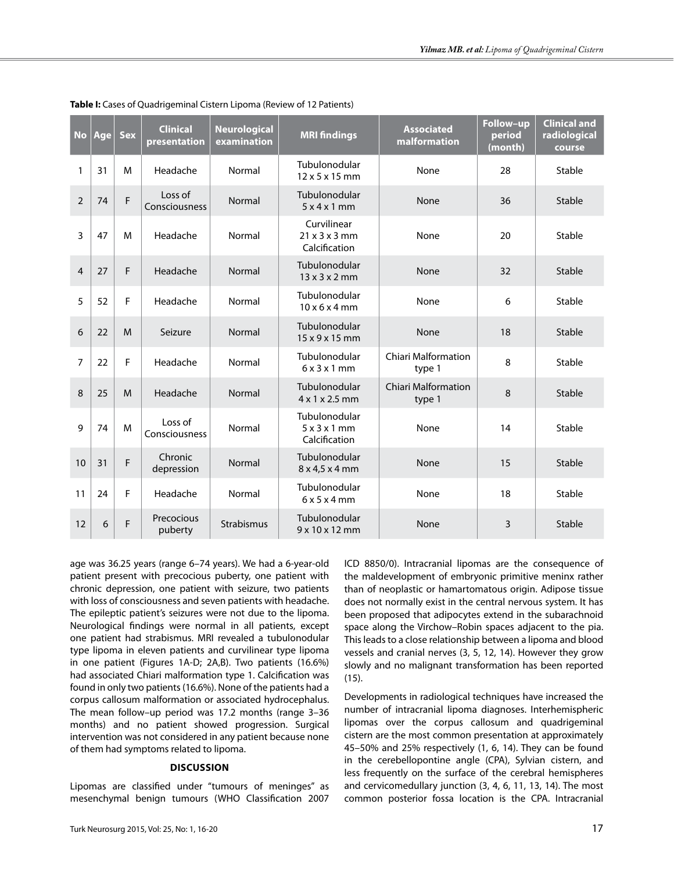| <b>No</b>      | Age | <b>Sex</b> | <b>Clinical</b><br>presentation | <b>Neurological</b><br>examination | <b>MRI</b> findings                        | <b>Associated</b><br>malformation    | Follow-up<br>period<br>(month) | <b>Clinical and</b><br>radiological<br>course |
|----------------|-----|------------|---------------------------------|------------------------------------|--------------------------------------------|--------------------------------------|--------------------------------|-----------------------------------------------|
| 1              | 31  | M          | Headache                        | Normal                             | Tubulonodular<br>12 x 5 x 15 mm            | None                                 | 28                             | Stable                                        |
| $\overline{2}$ | 74  | F          | Loss of<br>Consciousness        | Normal                             | Tubulonodular<br>5x4x1mm                   | None                                 | 36                             | Stable                                        |
| 3              | 47  | M          | Headache                        | Normal                             | Curvilinear<br>21x3x3mm<br>Calcification   | None                                 | 20                             | Stable                                        |
| $\overline{4}$ | 27  | F          | Headache                        | Normal                             | Tubulonodular<br>$13 \times 3 \times 2$ mm | None                                 | 32                             | Stable                                        |
| 5              | 52  | F          | Headache                        | Normal                             | Tubulonodular<br>$10 \times 6 \times 4$ mm | None                                 | 6                              | Stable                                        |
| 6              | 22  | M          | Seizure                         | Normal                             | Tubulonodular<br>15 x 9 x 15 mm            | None                                 | 18                             | Stable                                        |
| 7              | 22  | F          | Headache                        | Normal                             | Tubulonodular<br>6x3x1mm                   | <b>Chiari Malformation</b><br>type 1 | 8                              | Stable                                        |
| 8              | 25  | M          | Headache                        | Normal                             | Tubulonodular<br>4 x 1 x 2.5 mm            | <b>Chiari Malformation</b><br>type 1 | 8                              | Stable                                        |
| 9              | 74  | M          | Loss of<br>Consciousness        | Normal                             | Tubulonodular<br>5x3x1mm<br>Calcification  | None                                 | 14                             | Stable                                        |
| 10             | 31  | F          | Chronic<br>depression           | Normal                             | Tubulonodular<br>8 x 4,5 x 4 mm            | None                                 | 15                             | Stable                                        |
| 11             | 24  | F          | Headache                        | Normal                             | Tubulonodular<br>6x5x4mm                   | None                                 | 18                             | Stable                                        |
| 12             | 6   | F          | Precocious<br>puberty           | Strabismus                         | Tubulonodular<br>9 x 10 x 12 mm            | None                                 | 3                              | Stable                                        |

**Table I:** Cases of Quadrigeminal Cistern Lipoma (Review of 12 Patients)

age was 36.25 years (range 6–74 years). We had a 6-year-old patient present with precocious puberty, one patient with chronic depression, one patient with seizure, two patients with loss of consciousness and seven patients with headache. The epileptic patient's seizures were not due to the lipoma. Neurological findings were normal in all patients, except one patient had strabismus. MRI revealed a tubulonodular type lipoma in eleven patients and curvilinear type lipoma in one patient (Figures 1A-D; 2A,B). Two patients (16.6%) had associated Chiari malformation type 1. Calcification was found in only two patients (16.6%). None of the patients had a corpus callosum malformation or associated hydrocephalus. The mean follow–up period was 17.2 months (range 3–36 months) and no patient showed progression. Surgical intervention was not considered in any patient because none of them had symptoms related to lipoma.

#### **Discussion**

Lipomas are classified under "tumours of meninges" as mesenchymal benign tumours (WHO Classification 2007 ICD 8850/0). Intracranial lipomas are the consequence of the maldevelopment of embryonic primitive meninx rather than of neoplastic or hamartomatous origin. Adipose tissue does not normally exist in the central nervous system. It has been proposed that adipocytes extend in the subarachnoid space along the Virchow–Robin spaces adjacent to the pia. This leads to a close relationship between a lipoma and blood vessels and cranial nerves (3, 5, 12, 14). However they grow slowly and no malignant transformation has been reported (15).

Developments in radiological techniques have increased the number of intracranial lipoma diagnoses. Interhemispheric lipomas over the corpus callosum and quadrigeminal cistern are the most common presentation at approximately 45–50% and 25% respectively (1, 6, 14). They can be found in the cerebellopontine angle (CPA), Sylvian cistern, and less frequently on the surface of the cerebral hemispheres and cervicomedullary junction (3, 4, 6, 11, 13, 14). The most common posterior fossa location is the CPA. Intracranial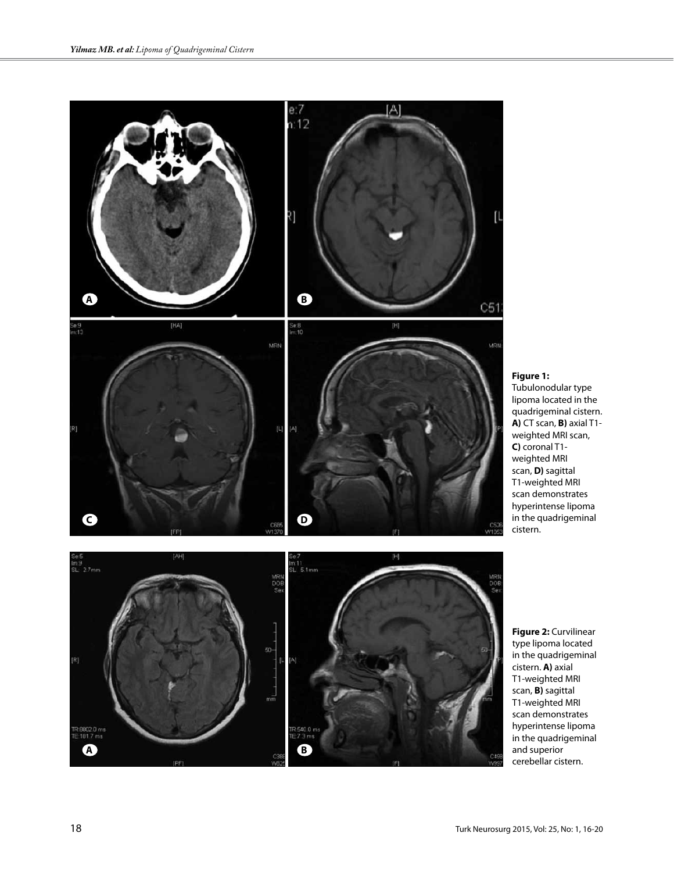

## **Figure 1:**

Tubulonodular type lipoma located in the quadrigeminal cistern. **A)** CT scan, **B)** axial T1 weighted MRI scan, **C)** coronal T1 weighted MRI scan, **D)** sagittal T1-weighted MRI scan demonstrates hyperintense lipoma in the quadrigeminal cistern.



**Figure 2:** Curvilinear type lipoma located in the quadrigeminal cistern. **A)** axial T1-weighted MRI scan, **B)** sagittal T1-weighted MRI scan demonstrates hyperintense lipoma in the quadrigeminal and superior cerebellar cistern.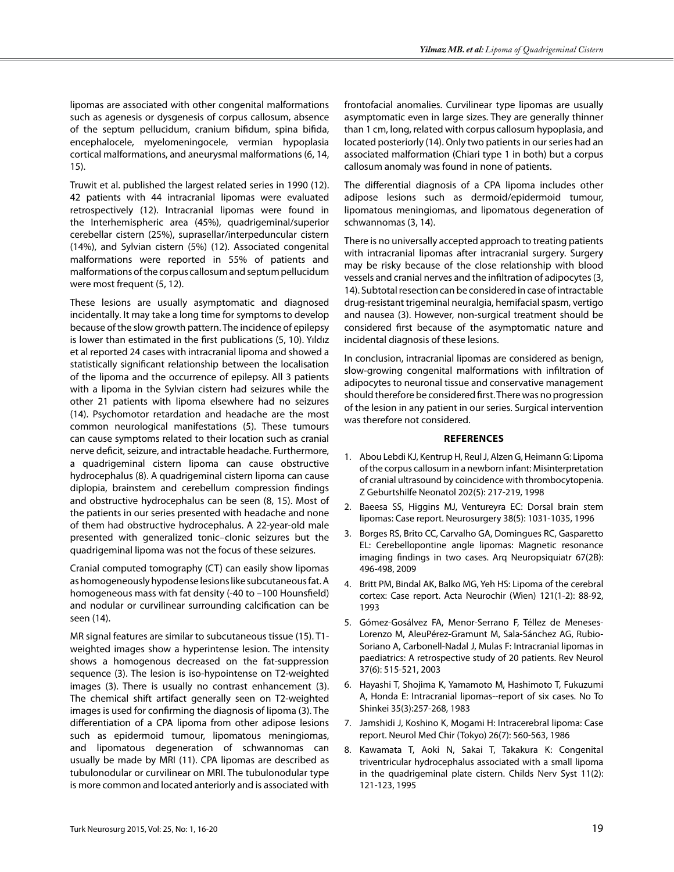lipomas are associated with other congenital malformations such as agenesis or dysgenesis of corpus callosum, absence of the septum pellucidum, cranium bifidum, spina bifida, encephalocele, myelomeningocele, vermian hypoplasia cortical malformations, and aneurysmal malformations (6, 14, 15).

Truwit et al. published the largest related series in 1990 (12). 42 patients with 44 intracranial lipomas were evaluated retrospectively (12). Intracranial lipomas were found in the Interhemispheric area (45%), quadrigeminal/superior cerebellar cistern (25%), suprasellar/interpeduncular cistern (14%), and Sylvian cistern (5%) (12). Associated congenital malformations were reported in 55% of patients and malformations of the corpus callosum and septum pellucidum were most frequent (5, 12).

These lesions are usually asymptomatic and diagnosed incidentally. It may take a long time for symptoms to develop because of the slow growth pattern. The incidence of epilepsy is lower than estimated in the first publications (5, 10). Yıldız et al reported 24 cases with intracranial lipoma and showed a statistically significant relationship between the localisation of the lipoma and the occurrence of epilepsy. All 3 patients with a lipoma in the Sylvian cistern had seizures while the other 21 patients with lipoma elsewhere had no seizures (14). Psychomotor retardation and headache are the most common neurological manifestations (5). These tumours can cause symptoms related to their location such as cranial nerve deficit, seizure, and intractable headache. Furthermore, a quadrigeminal cistern lipoma can cause obstructive hydrocephalus (8). A quadrigeminal cistern lipoma can cause diplopia, brainstem and cerebellum compression findings and obstructive hydrocephalus can be seen (8, 15). Most of the patients in our series presented with headache and none of them had obstructive hydrocephalus. A 22-year-old male presented with generalized tonic–clonic seizures but the quadrigeminal lipoma was not the focus of these seizures.

Cranial computed tomography (CT) can easily show lipomas as homogeneously hypodense lesions like subcutaneous fat. A homogeneous mass with fat density (-40 to –100 Hounsfield) and nodular or curvilinear surrounding calcification can be seen (14).

MR signal features are similar to subcutaneous tissue (15). T1 weighted images show a hyperintense lesion. The intensity shows a homogenous decreased on the fat-suppression sequence (3). The lesion is iso-hypointense on T2-weighted images (3). There is usually no contrast enhancement (3). The chemical shift artifact generally seen on T2-weighted images is used for confirming the diagnosis of lipoma (3). The differentiation of a CPA lipoma from other adipose lesions such as epidermoid tumour, lipomatous meningiomas, and lipomatous degeneration of schwannomas can usually be made by MRI (11). CPA lipomas are described as tubulonodular or curvilinear on MRI. The tubulonodular type is more common and located anteriorly and is associated with

frontofacial anomalies. Curvilinear type lipomas are usually asymptomatic even in large sizes. They are generally thinner than 1 cm, long, related with corpus callosum hypoplasia, and located posteriorly (14). Only two patients in our series had an associated malformation (Chiari type 1 in both) but a corpus callosum anomaly was found in none of patients.

The differential diagnosis of a CPA lipoma includes other adipose lesions such as dermoid/epidermoid tumour, lipomatous meningiomas, and lipomatous degeneration of schwannomas (3, 14).

There is no universally accepted approach to treating patients with intracranial lipomas after intracranial surgery. Surgery may be risky because of the close relationship with blood vessels and cranial nerves and the infiltration of adipocytes (3, 14). Subtotal resection can be considered in case of intractable drug-resistant trigeminal neuralgia, hemifacial spasm, vertigo and nausea (3). However, non-surgical treatment should be considered first because of the asymptomatic nature and incidental diagnosis of these lesions.

In conclusion, intracranial lipomas are considered as benign, slow-growing congenital malformations with infiltration of adipocytes to neuronal tissue and conservative management should therefore be considered first. There was no progression of the lesion in any patient in our series. Surgical intervention was therefore not considered.

#### **References**

- 1. Abou Lebdi KJ, Kentrup H, Reul J, Alzen G, Heimann G: Lipoma of the corpus callosum in a newborn infant: Misinterpretation of cranial ultrasound by coincidence with thrombocytopenia. Z Geburtshilfe Neonatol 202(5): 217-219, 1998
- 2. Baeesa SS, Higgins MJ, Ventureyra EC: Dorsal brain stem lipomas: Case report. Neurosurgery 38(5): 1031-1035, 1996
- 3. Borges RS, Brito CC, Carvalho GA, Domingues RC, Gasparetto EL: Cerebellopontine angle lipomas: Magnetic resonance imaging findings in two cases. Arq Neuropsiquiatr 67(2B): 496-498, 2009
- 4. Britt PM, Bindal AK, Balko MG, Yeh HS: Lipoma of the cerebral cortex: Case report. Acta Neurochir (Wien) 121(1-2): 88-92, 1993
- 5. Gómez-Gosálvez FA, Menor-Serrano F, Téllez de Meneses-Lorenzo M, AleuPérez-Gramunt M, Sala-Sánchez AG, Rubio-Soriano A, Carbonell-Nadal J, Mulas F: Intracranial lipomas in paediatrics: A retrospective study of 20 patients. Rev Neurol 37(6): 515-521, 2003
- 6. Hayashi T, Shojima K, Yamamoto M, Hashimoto T, Fukuzumi A, Honda E: Intracranial lipomas--report of six cases. No To Shinkei 35(3):257-268, 1983
- 7. Jamshidi J, Koshino K, Mogami H: Intracerebral lipoma: Case report. Neurol Med Chir (Tokyo) 26(7): 560-563, 1986
- 8. Kawamata T, Aoki N, Sakai T, Takakura K: Congenital triventricular hydrocephalus associated with a small lipoma in the quadrigeminal plate cistern. Childs Nerv Syst 11(2): 121-123, 1995